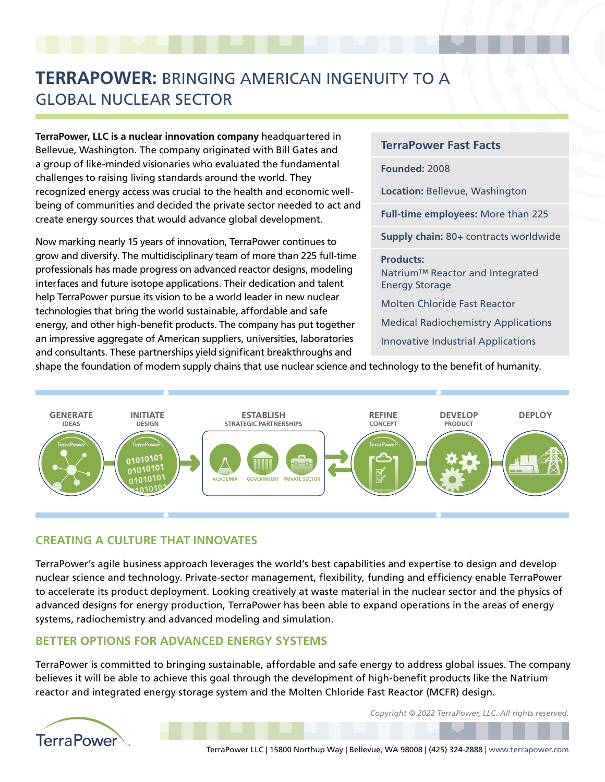## **TERRAPOWER:** BRINGING AMERICAN INGENUITY TO A GLOBAL NUCLEAR SECTOR

**TerraPower, LLC is a nuclear innovation company** headquartered in Bellevue, Washington. The company originated with Bill Gates and a group of like-minded visionaries who evaluated the fundamental challenges to raising living standards around the world. They recognized energy access was crucial to the health and economic wellbeing of communities and decided the private sector needed to act and create energy sources that would advance global development.

Now marking nearly 15 years of innovation, TerraPower continues to grow and diversify. The multidisciplinary team of more than 225 full-time professionals has made progress on advanced reactor designs, modeling interfaces and future isotope applications. Their dedication and talent help TerraPower pursue its vision to be a world leader in new nuclear technologies that bring the world sustainable, affordable and safe energy, and other high-benefit products. The company has put together an impressive aggregate of American suppliers, universities, laboratories and consultants. These partnerships yield significant breakthroughs and

**TerraPower Fast Facts Founded:** 2008 **Location:** Bellevue, Washington **Full-time employees:** More than 225 **Supply chain:** 80+ contracts worldwide **Products:**  Natrium™ Reactor and Integrated Energy Storage Molten Chloride Fast Reactor Medical Radiochemistry Applications Innovative Industrial Applications

shape the foundation of modern supply chains that use nuclear science and technology to the benefit of humanity.



## **CREATING A CULTURE THAT INNOVATES**

TerraPower's agile business approach leverages the world's best capabilities and expertise to design and develop nuclear science and technology. Private-sector management, flexibility, funding and efficiency enable TerraPower to accelerate its product deployment. Looking creatively at waste material in the nuclear sector and the physics of advanced designs for energy production, TerraPower has been able to expand operations in the areas of energy systems, radiochemistry and advanced modeling and simulation.

## **BETTER OPTIONS FOR ADVANCED ENERGY SYSTEMS**

TerraPower is committed to bringing sustainable, affordable and safe energy to address global issues. The company believes it will be able to achieve this goal through the development of high-benefit products like the Natrium reactor and integrated energy storage system and the Molten Chloride Fast Reactor (MCFR) design.



*Copyright © 2022 TerraPower, LLC. All rights reserved.*